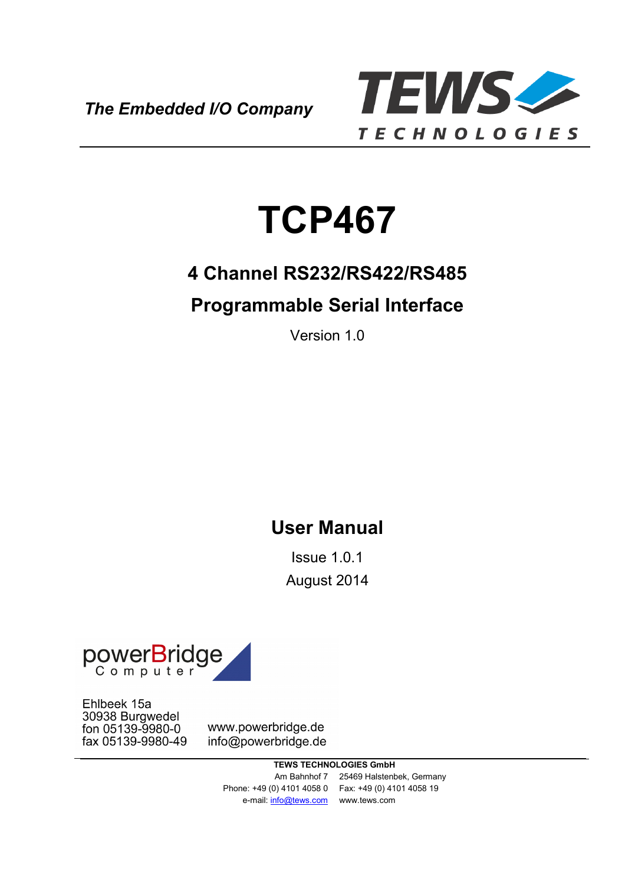*The Embedded I/O Company*



# **TCP467**

# **4 Channel RS232/RS422/RS485**

# **Programmable Serial Interface**

Version 1.0

# **User Manual**

Issue 1.0.1 August 2014



Ehlbeek 15a 30938 Burgwedel fon 05139-9980-0 fax 05139-9980-49

www.powerbridge.de info@powerbridge.de

> **TEWS TECHNOLOGIES GmbH** Am Bahnhof 7 25469 Halstenbek, Germany Phone: +49 (0) 4101 4058 0 Fax: +49 (0) 4101 4058 19 e-mail: info@tews.com www.tews.com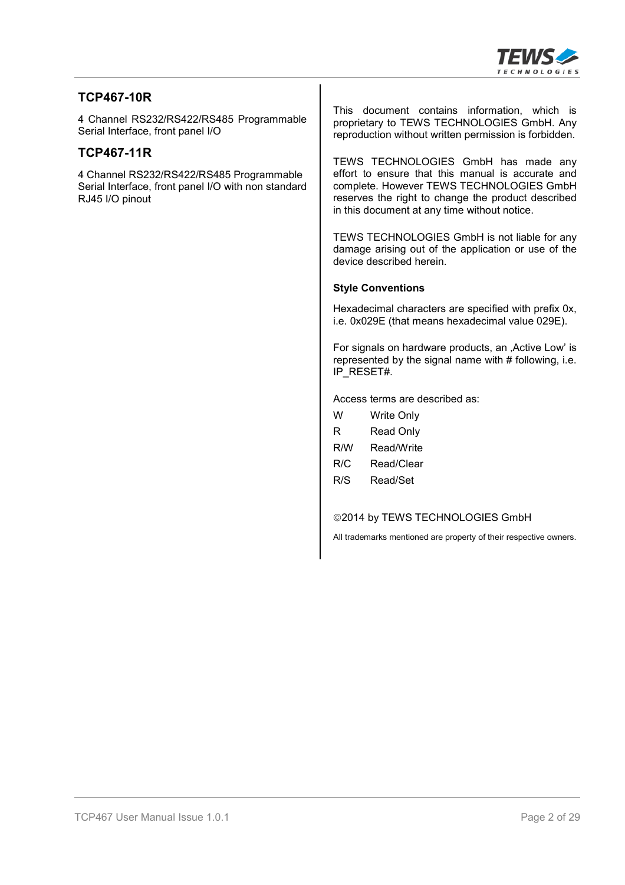

#### **TCP467-10R**

4 Channel RS232/RS422/RS485 Programmable Serial Interface, front panel I/O

#### **TCP467-11R**

4 Channel RS232/RS422/RS485 Programmable Serial Interface, front panel I/O with non standard RJ45 I/O pinout

This document contains information, which is proprietary to TEWS TECHNOLOGIES GmbH. Any reproduction without written permission is forbidden.

TEWS TECHNOLOGIES GmbH has made any effort to ensure that this manual is accurate and complete. However TEWS TECHNOLOGIES GmbH reserves the right to change the product described in this document at any time without notice.

TEWS TECHNOLOGIES GmbH is not liable for any damage arising out of the application or use of the device described herein.

#### **Style Conventions**

Hexadecimal characters are specified with prefix 0x, i.e. 0x029E (that means hexadecimal value 029E).

For signals on hardware products, an , Active Low' is represented by the signal name with  $#$  following, i.e. IP\_RESET#.

Access terms are described as:

| w   | Write Only |
|-----|------------|
| R   | Read Only  |
| R/W | Read/Write |
| R/C | Read/Clear |
| R/S | Read/Set   |
|     |            |

©2014 by TEWS TECHNOLOGIES GmbH

All trademarks mentioned are property of their respective owners.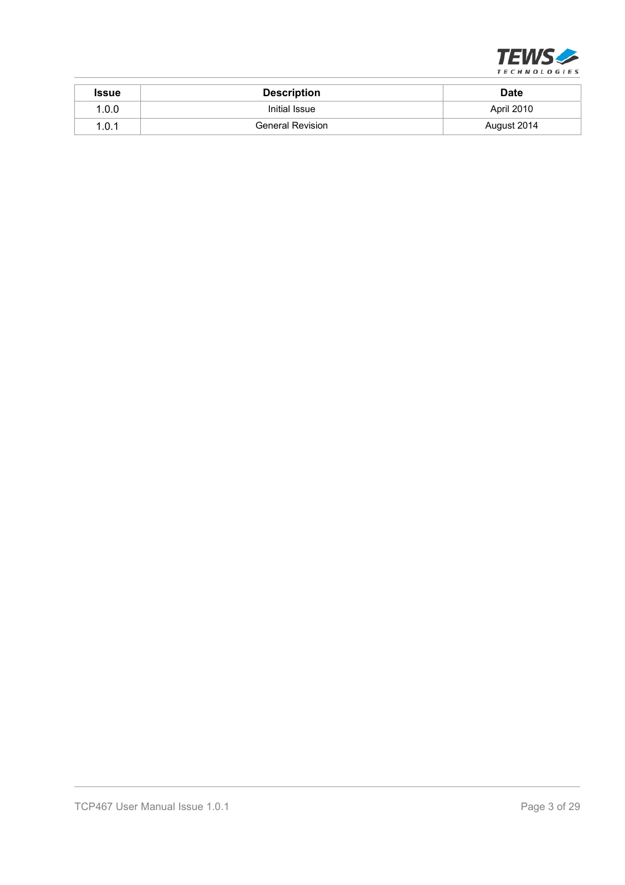

| Issue | <b>Description</b>      | <b>Date</b> |
|-------|-------------------------|-------------|
| 1.0.0 | Initial Issue           | April 2010  |
| 1.0.1 | <b>General Revision</b> | August 2014 |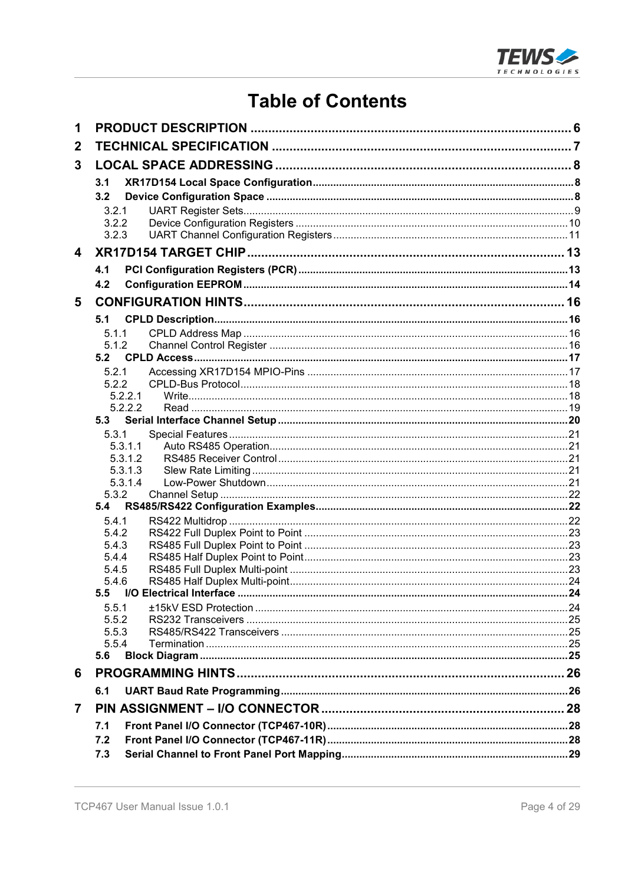

# **Table of Contents**

| 1                |                    |  |
|------------------|--------------------|--|
| $\boldsymbol{2}$ |                    |  |
| 3                |                    |  |
|                  | 3.1                |  |
|                  | 3.2                |  |
|                  | 3.2.1              |  |
|                  | 3.2.2              |  |
|                  | 3.2.3              |  |
| 4                |                    |  |
|                  | 4.1                |  |
|                  | 4.2                |  |
| 5                |                    |  |
|                  | 5.1                |  |
|                  | 5.1.1              |  |
|                  | 5.1.2              |  |
|                  | 5.2                |  |
|                  | 5.2.1              |  |
|                  | 5.2.2<br>5.2.2.1   |  |
|                  | 5.2.2.2            |  |
|                  | 5.3                |  |
|                  | 5.3.1              |  |
|                  | 5.3.1.1            |  |
|                  | 5.3.1.2            |  |
|                  | 5.3.1.3<br>5.3.1.4 |  |
|                  | 5.3.2              |  |
|                  | 5.4                |  |
|                  | 5.4.1              |  |
|                  | 5.4.2              |  |
|                  | 5.4.3              |  |
|                  | 5.4.4              |  |
|                  | 5.4.5<br>5.4.6     |  |
|                  | 5.5                |  |
|                  | 5.5.1              |  |
|                  | 5.5.2              |  |
|                  | 5.5.3              |  |
|                  | 5.5.4              |  |
|                  | 5.6                |  |
| 6                |                    |  |
|                  | 6.1                |  |
| $\overline{7}$   |                    |  |
|                  | 7.1                |  |
|                  | 7.2                |  |
|                  | 7.3                |  |
|                  |                    |  |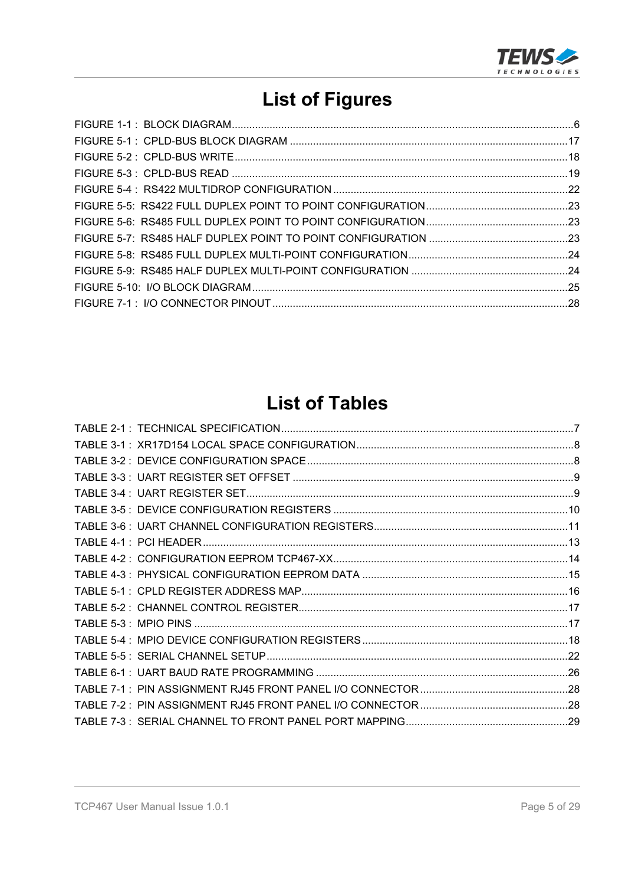

# **List of Figures**

# **List of Tables**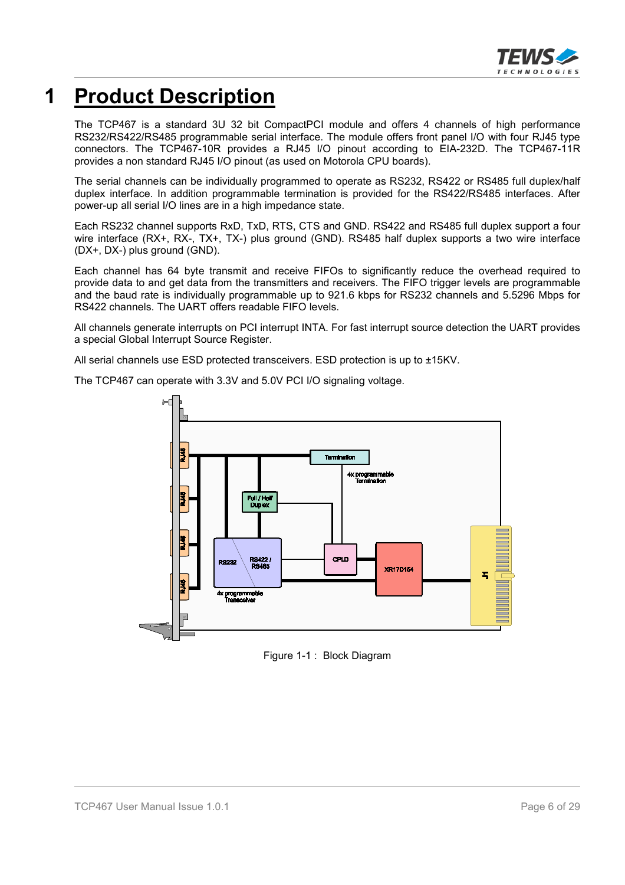

# **1 Product Description**

The TCP467 is a standard 3U 32 bit CompactPCI module and offers 4 channels of high performance RS232/RS422/RS485 programmable serial interface. The module offers front panel I/O with four RJ45 type connectors. The TCP467-10R provides a RJ45 I/O pinout according to EIA-232D. The TCP467-11R provides a non standard RJ45 I/O pinout (as used on Motorola CPU boards).

The serial channels can be individually programmed to operate as RS232, RS422 or RS485 full duplex/half duplex interface. In addition programmable termination is provided for the RS422/RS485 interfaces. After power-up all serial I/O lines are in a high impedance state.

Each RS232 channel supports RxD, TxD, RTS, CTS and GND. RS422 and RS485 full duplex support a four wire interface (RX+, RX-, TX+, TX-) plus ground (GND). RS485 half duplex supports a two wire interface (DX+, DX-) plus ground (GND).

Each channel has 64 byte transmit and receive FIFOs to significantly reduce the overhead required to provide data to and get data from the transmitters and receivers. The FIFO trigger levels are programmable and the baud rate is individually programmable up to 921.6 kbps for RS232 channels and 5.5296 Mbps for RS422 channels. The UART offers readable FIFO levels.

All channels generate interrupts on PCI interrupt INTA. For fast interrupt source detection the UART provides a special Global Interrupt Source Register.

All serial channels use ESD protected transceivers. ESD protection is up to ±15KV.

Ax programm<br>Terminativ Full / H<br>Duple RS422 /<br>RS485 CPLD **XR17D154** 5 x progra

The TCP467 can operate with 3.3V and 5.0V PCI I/O signaling voltage.

Figure 1-1 : Block Diagram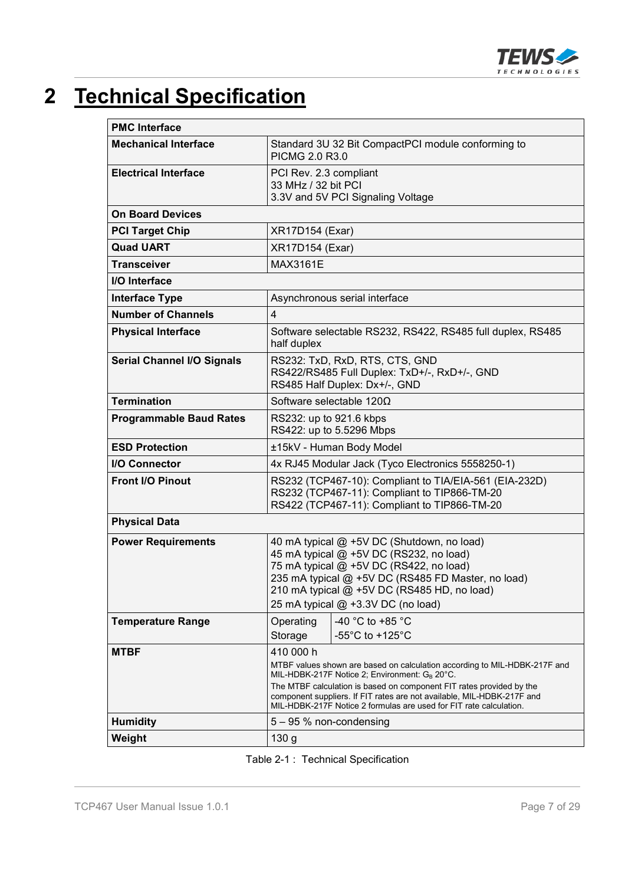

# **2 Technical Specification**

| <b>PMC</b> Interface              |                                                                                                                                                                                                                                                                               |                                                                                                                                                                                                                                                                                                                                                               |  |  |
|-----------------------------------|-------------------------------------------------------------------------------------------------------------------------------------------------------------------------------------------------------------------------------------------------------------------------------|---------------------------------------------------------------------------------------------------------------------------------------------------------------------------------------------------------------------------------------------------------------------------------------------------------------------------------------------------------------|--|--|
| <b>Mechanical Interface</b>       | Standard 3U 32 Bit CompactPCI module conforming to<br>PICMG 2.0 R3.0                                                                                                                                                                                                          |                                                                                                                                                                                                                                                                                                                                                               |  |  |
| <b>Electrical Interface</b>       | PCI Rev. 2.3 compliant<br>33 MHz / 32 bit PCI                                                                                                                                                                                                                                 | 3.3V and 5V PCI Signaling Voltage                                                                                                                                                                                                                                                                                                                             |  |  |
| <b>On Board Devices</b>           |                                                                                                                                                                                                                                                                               |                                                                                                                                                                                                                                                                                                                                                               |  |  |
| <b>PCI Target Chip</b>            | <b>XR17D154 (Exar)</b>                                                                                                                                                                                                                                                        |                                                                                                                                                                                                                                                                                                                                                               |  |  |
| <b>Quad UART</b>                  | <b>XR17D154 (Exar)</b>                                                                                                                                                                                                                                                        |                                                                                                                                                                                                                                                                                                                                                               |  |  |
| <b>Transceiver</b>                | <b>MAX3161E</b>                                                                                                                                                                                                                                                               |                                                                                                                                                                                                                                                                                                                                                               |  |  |
| I/O Interface                     |                                                                                                                                                                                                                                                                               |                                                                                                                                                                                                                                                                                                                                                               |  |  |
| <b>Interface Type</b>             |                                                                                                                                                                                                                                                                               | Asynchronous serial interface                                                                                                                                                                                                                                                                                                                                 |  |  |
| <b>Number of Channels</b>         | $\overline{4}$                                                                                                                                                                                                                                                                |                                                                                                                                                                                                                                                                                                                                                               |  |  |
| <b>Physical Interface</b>         | half duplex                                                                                                                                                                                                                                                                   | Software selectable RS232, RS422, RS485 full duplex, RS485                                                                                                                                                                                                                                                                                                    |  |  |
| <b>Serial Channel I/O Signals</b> | RS232: TxD, RxD, RTS, CTS, GND<br>RS422/RS485 Full Duplex: TxD+/-, RxD+/-, GND<br>RS485 Half Duplex: Dx+/-, GND                                                                                                                                                               |                                                                                                                                                                                                                                                                                                                                                               |  |  |
| <b>Termination</b>                | Software selectable 120 $\Omega$                                                                                                                                                                                                                                              |                                                                                                                                                                                                                                                                                                                                                               |  |  |
| <b>Programmable Baud Rates</b>    | RS232: up to 921.6 kbps<br>RS422: up to 5.5296 Mbps                                                                                                                                                                                                                           |                                                                                                                                                                                                                                                                                                                                                               |  |  |
| <b>ESD Protection</b>             | ±15kV - Human Body Model                                                                                                                                                                                                                                                      |                                                                                                                                                                                                                                                                                                                                                               |  |  |
| <b>I/O Connector</b>              | 4x RJ45 Modular Jack (Tyco Electronics 5558250-1)                                                                                                                                                                                                                             |                                                                                                                                                                                                                                                                                                                                                               |  |  |
| Front I/O Pinout                  | RS232 (TCP467-10): Compliant to TIA/EIA-561 (EIA-232D)<br>RS232 (TCP467-11): Compliant to TIP866-TM-20<br>RS422 (TCP467-11): Compliant to TIP866-TM-20                                                                                                                        |                                                                                                                                                                                                                                                                                                                                                               |  |  |
| <b>Physical Data</b>              |                                                                                                                                                                                                                                                                               |                                                                                                                                                                                                                                                                                                                                                               |  |  |
| <b>Power Requirements</b>         | 40 mA typical @ +5V DC (Shutdown, no load)<br>45 mA typical @ +5V DC (RS232, no load)<br>75 mA typical @ +5V DC (RS422, no load)<br>235 mA typical @ +5V DC (RS485 FD Master, no load)<br>210 mA typical @ +5V DC (RS485 HD, no load)<br>25 mA typical $@$ +3.3V DC (no load) |                                                                                                                                                                                                                                                                                                                                                               |  |  |
| <b>Temperature Range</b>          | Operating<br>Storage                                                                                                                                                                                                                                                          | -40 °C to +85 °C<br>-55 $^{\circ}$ C to +125 $^{\circ}$ C                                                                                                                                                                                                                                                                                                     |  |  |
| <b>MTBF</b>                       | 410 000 h                                                                                                                                                                                                                                                                     | MTBF values shown are based on calculation according to MIL-HDBK-217F and<br>MIL-HDBK-217F Notice 2; Environment: $G_B 20^{\circ}$ C.<br>The MTBF calculation is based on component FIT rates provided by the<br>component suppliers. If FIT rates are not available, MIL-HDBK-217F and<br>MIL-HDBK-217F Notice 2 formulas are used for FIT rate calculation. |  |  |
| <b>Humidity</b>                   | $5 - 95$ % non-condensing                                                                                                                                                                                                                                                     |                                                                                                                                                                                                                                                                                                                                                               |  |  |
| Weight                            | 130 <sub>g</sub>                                                                                                                                                                                                                                                              |                                                                                                                                                                                                                                                                                                                                                               |  |  |

| Table 2-1 : Technical Specification |  |  |
|-------------------------------------|--|--|
|-------------------------------------|--|--|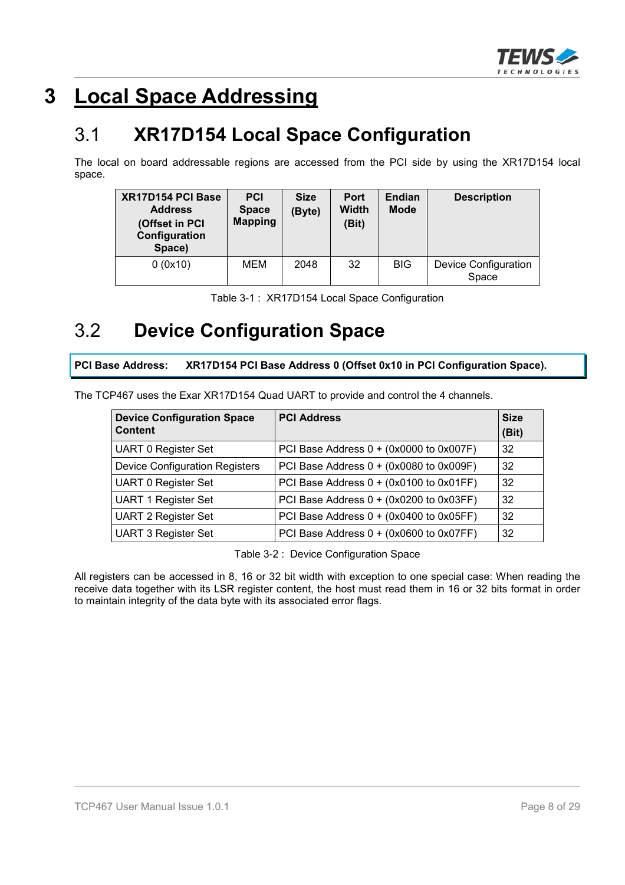

# **3 Local Space Addressing**

### 3.1 **XR17D154 Local Space Configuration**

The local on board addressable regions are accessed from the PCI side by using the XR17D154 local space.

| XR17D154 PCI Base<br><b>Address</b><br>(Offset in PCI<br>Configuration<br>Space) | <b>PCI</b><br><b>Space</b><br><b>Mapping</b> | <b>Size</b><br>(Byte) | <b>Port</b><br><b>Width</b><br>(Bit) | Endian<br><b>Mode</b> | <b>Description</b>                   |
|----------------------------------------------------------------------------------|----------------------------------------------|-----------------------|--------------------------------------|-----------------------|--------------------------------------|
| 0(0x10)                                                                          | MEM                                          | 2048                  | 32                                   | <b>BIG</b>            | <b>Device Configuration</b><br>Space |

|  |  |  | Table 3-1: XR17D154 Local Space Configuration |
|--|--|--|-----------------------------------------------|
|--|--|--|-----------------------------------------------|

### 3.2 **Device Configuration Space**

**PCI Base Address: XR17D154 PCI Base Address 0 (Offset 0x10 in PCI Configuration Space).**

The TCP467 uses the Exar XR17D154 Quad UART to provide and control the 4 channels.

| <b>Device Configuration Space</b><br><b>Content</b> | <b>PCI Address</b>                      | <b>Size</b><br>(Bit) |
|-----------------------------------------------------|-----------------------------------------|----------------------|
| <b>UART 0 Register Set</b>                          | PCI Base Address 0 + (0x0000 to 0x007F) | 32                   |
| <b>Device Configuration Registers</b>               | PCI Base Address 0 + (0x0080 to 0x009F) | 32                   |
| <b>UART 0 Register Set</b>                          | PCI Base Address 0 + (0x0100 to 0x01FF) | 32                   |
| <b>UART 1 Register Set</b>                          | PCI Base Address 0 + (0x0200 to 0x03FF) | 32                   |
| <b>UART 2 Register Set</b>                          | PCI Base Address 0 + (0x0400 to 0x05FF) | 32                   |
| <b>UART 3 Register Set</b>                          | PCI Base Address 0 + (0x0600 to 0x07FF) | 32                   |

Table 3-2 : Device Configuration Space

All registers can be accessed in 8, 16 or 32 bit width with exception to one special case: When reading the receive data together with its LSR register content, the host must read them in 16 or 32 bits format in order to maintain integrity of the data byte with its associated error flags.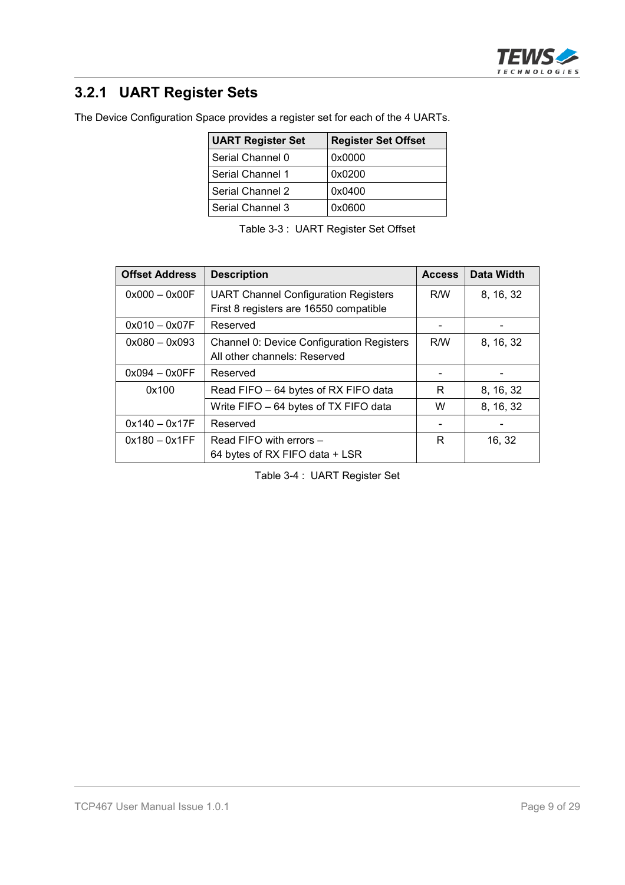

### **3.2.1 UART Register Sets**

The Device Configuration Space provides a register set for each of the 4 UARTs.

| <b>UART Register Set</b> | <b>Register Set Offset</b> |
|--------------------------|----------------------------|
| Serial Channel 0         | 0x0000                     |
| Serial Channel 1         | 0x0200                     |
| Serial Channel 2         | 0x0400                     |
| Serial Channel 3         | 0x0600                     |

| Table 3-3: UART Register Set Offset |  |  |  |  |
|-------------------------------------|--|--|--|--|
|-------------------------------------|--|--|--|--|

| <b>Offset Address</b> | <b>Description</b>                               | <b>Access</b> | Data Width |
|-----------------------|--------------------------------------------------|---------------|------------|
| $0x000 - 0x00F$       | <b>UART Channel Configuration Registers</b>      | R/W           | 8, 16, 32  |
|                       | First 8 registers are 16550 compatible           |               |            |
| $0x010 - 0x07F$       | Reserved                                         |               |            |
| $0x080 - 0x093$       | <b>Channel 0: Device Configuration Registers</b> | R/W           | 8, 16, 32  |
|                       | All other channels: Reserved                     |               |            |
| $0x094 - 0x0FF$       | Reserved                                         |               |            |
| 0x100                 | Read FIFO - 64 bytes of RX FIFO data             | R             | 8, 16, 32  |
|                       | Write FIFO - 64 bytes of TX FIFO data            | W             | 8, 16, 32  |
| $0x140 - 0x17F$       | Reserved                                         |               |            |
| $0x180 - 0x1FF$       | Read FIFO with errors -                          | R             | 16, 32     |
|                       | 64 bytes of RX FIFO data + LSR                   |               |            |

Table 3-4 : UART Register Set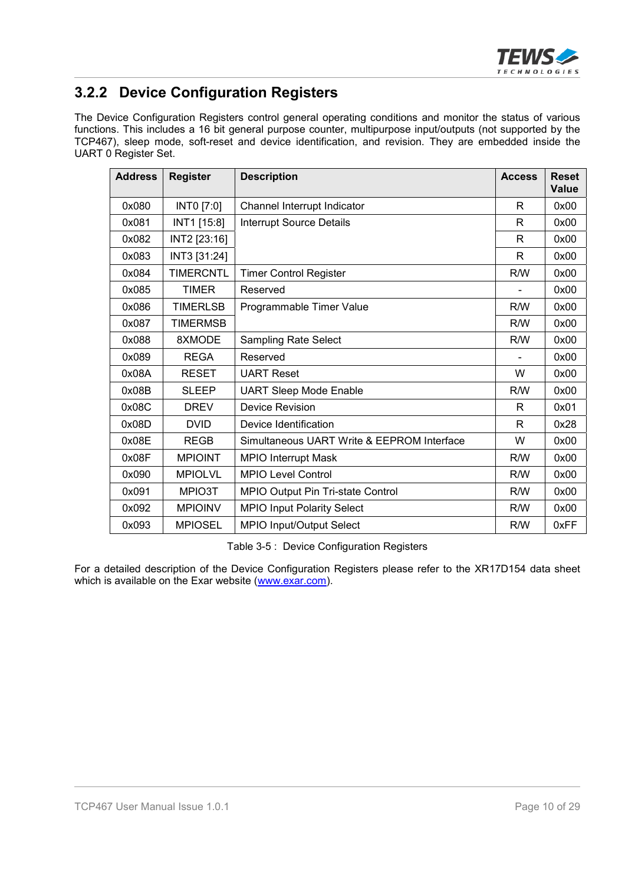

### **3.2.2 Device Configuration Registers**

The Device Configuration Registers control general operating conditions and monitor the status of various functions. This includes a 16 bit general purpose counter, multipurpose input/outputs (not supported by the TCP467), sleep mode, soft-reset and device identification, and revision. They are embedded inside the UART 0 Register Set.

| <b>Address</b> | <b>Register</b>  | <b>Description</b>                         | <b>Access</b> | <b>Reset</b><br>Value |
|----------------|------------------|--------------------------------------------|---------------|-----------------------|
| 0x080          | INTO [7:0]       | Channel Interrupt Indicator                | R             | 0x00                  |
| 0x081          | INT1 [15:8]      | <b>Interrupt Source Details</b>            | R             | 0x00                  |
| 0x082          | INT2 [23:16]     |                                            | R             | 0x00                  |
| 0x083          | INT3 [31:24]     |                                            | R             | 0x00                  |
| 0x084          | <b>TIMERCNTL</b> | <b>Timer Control Register</b>              | R/W           | 0x00                  |
| 0x085          | <b>TIMER</b>     | Reserved                                   |               | 0x00                  |
| 0x086          | <b>TIMERLSB</b>  | Programmable Timer Value                   | R/W           | 0x00                  |
| 0x087          | <b>TIMERMSB</b>  |                                            | R/W           | 0x00                  |
| 0x088          | 8XMODE           | <b>Sampling Rate Select</b>                | R/W           | 0x00                  |
| 0x089          | <b>REGA</b>      | Reserved                                   |               | 0x00                  |
| 0x08A          | <b>RESET</b>     | <b>UART Reset</b>                          | W             | 0x00                  |
| 0x08B          | <b>SLEEP</b>     | <b>UART Sleep Mode Enable</b>              | R/W           | 0x00                  |
| 0x08C          | <b>DREV</b>      | <b>Device Revision</b>                     | R             | 0x01                  |
| 0x08D          | <b>DVID</b>      | Device Identification                      | R             | 0x28                  |
| 0x08E          | <b>REGB</b>      | Simultaneous UART Write & EEPROM Interface | W             | 0x00                  |
| 0x08F          | <b>MPIOINT</b>   | <b>MPIO Interrupt Mask</b>                 | R/W           | 0x00                  |
| 0x090          | <b>MPIOLVL</b>   | <b>MPIO Level Control</b>                  | R/W           | 0x00                  |
| 0x091          | MPIO3T           | MPIO Output Pin Tri-state Control          | R/W           | 0x00                  |
| 0x092          | <b>MPIOINV</b>   | <b>MPIO Input Polarity Select</b>          | R/W           | 0x00                  |
| 0x093          | <b>MPIOSEL</b>   | MPIO Input/Output Select                   | R/W           | 0xFF                  |

Table 3-5 : Device Configuration Registers

For a detailed description of the Device Configuration Registers please refer to the XR17D154 data sheet which is available on the Exar website (www.exar.com).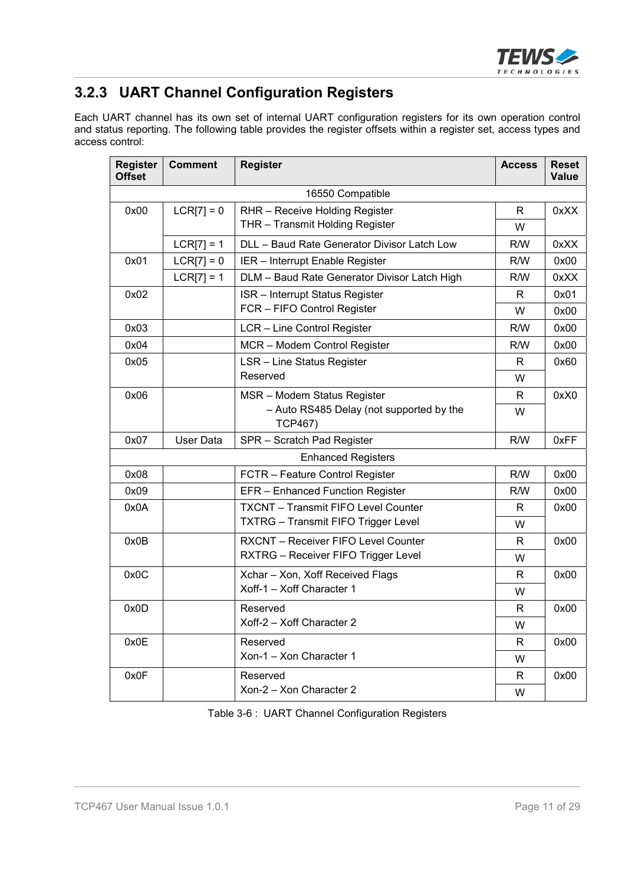

### **3.2.3 UART Channel Configuration Registers**

Each UART channel has its own set of internal UART configuration registers for its own operation control and status reporting. The following table provides the register offsets within a register set, access types and access control:

| <b>Register</b><br><b>Offset</b> | <b>Comment</b> | <b>Register</b>                                            | <b>Access</b> | <b>Reset</b><br>Value |
|----------------------------------|----------------|------------------------------------------------------------|---------------|-----------------------|
|                                  |                | 16550 Compatible                                           |               |                       |
| 0x00                             | $LCR[7] = 0$   | RHR - Receive Holding Register                             | R             | 0xXX                  |
|                                  |                | THR - Transmit Holding Register                            | W             |                       |
|                                  | $LCR[7] = 1$   | DLL - Baud Rate Generator Divisor Latch Low                | R/W           | 0xXX                  |
| 0x01                             | $LCR[7] = 0$   | IER - Interrupt Enable Register                            | R/W           | 0x00                  |
|                                  | $LCR[7] = 1$   | DLM - Baud Rate Generator Divisor Latch High               | R/W           | 0xXX                  |
| 0x02                             |                | <b>ISR</b> - Interrupt Status Register                     | R             | 0x01                  |
|                                  |                | FCR - FIFO Control Register                                | W             | 0x00                  |
| 0x03                             |                | LCR - Line Control Register                                | R/W           | 0x00                  |
| 0x04                             |                | MCR - Modem Control Register                               | R/W           | 0x00                  |
| 0x05                             |                | LSR - Line Status Register                                 | R             | 0x60                  |
|                                  |                | Reserved                                                   | W             |                       |
| 0x06                             |                | MSR - Modem Status Register                                | R             | 0xX0                  |
|                                  |                | - Auto RS485 Delay (not supported by the<br><b>TCP467)</b> | W             |                       |
| 0x07                             | User Data      | SPR - Scratch Pad Register                                 | R/W           | 0xFF                  |
|                                  |                | <b>Enhanced Registers</b>                                  |               |                       |
| 0x08                             |                | FCTR - Feature Control Register                            | R/W           | 0x00                  |
| 0x09                             |                | EFR - Enhanced Function Register                           | R/W           | 0x00                  |
| 0x0A                             |                | <b>TXCNT - Transmit FIFO Level Counter</b>                 | R             | 0x00                  |
|                                  |                | <b>TXTRG</b> - Transmit FIFO Trigger Level                 | W             |                       |
| 0x0B                             |                | RXCNT - Receiver FIFO Level Counter                        | R             | 0x00                  |
|                                  |                | RXTRG - Receiver FIFO Trigger Level                        | W             |                       |
| 0x0C                             |                | Xchar - Xon, Xoff Received Flags                           | R             | 0x00                  |
|                                  |                | Xoff-1 - Xoff Character 1                                  | W             |                       |
| 0x0D                             |                | Reserved                                                   | R             | 0x00                  |
|                                  |                | Xoff-2 - Xoff Character 2                                  | W             |                       |
| 0x0E                             |                | Reserved                                                   | R.            | 0x00                  |
|                                  |                | Xon-1 - Xon Character 1                                    | W             |                       |
| 0x0F                             |                | Reserved                                                   | R             | 0x00                  |
|                                  |                | Xon-2 - Xon Character 2                                    | W             |                       |

Table 3-6 : UART Channel Configuration Registers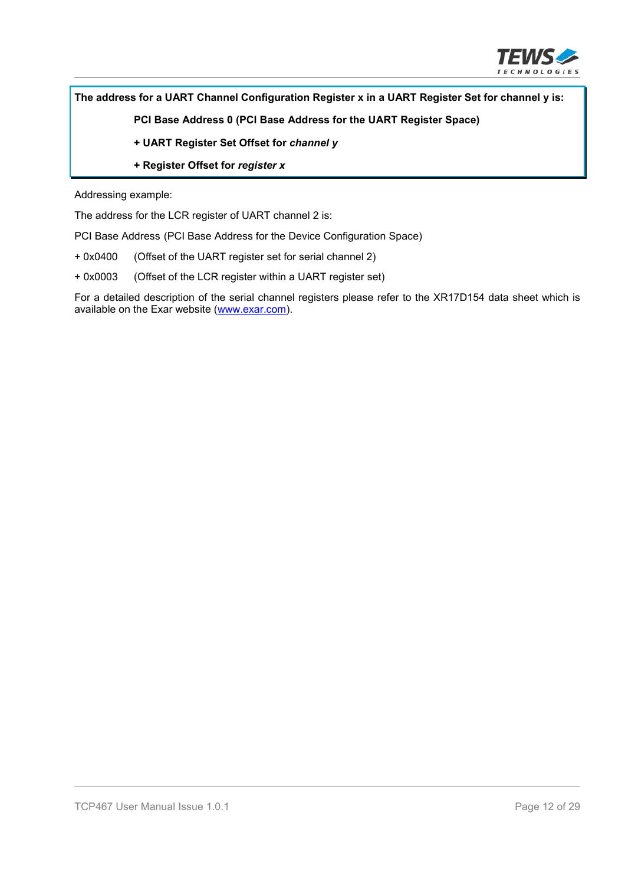

#### **The address for a UART Channel Configuration Register x in a UART Register Set for channel y is:**

**PCI Base Address 0 (PCI Base Address for the UART Register Space)**

- **+ UART Register Set Offset for** *channel y*
- **+ Register Offset for** *register x*

Addressing example:

The address for the LCR register of UART channel 2 is:

PCI Base Address (PCI Base Address for the Device Configuration Space)

- + 0x0400 (Offset of the UART register set for serial channel 2)
- + 0x0003 (Offset of the LCR register within a UART register set)

For a detailed description of the serial channel registers please refer to the XR17D154 data sheet which is available on the Exar website (www.exar.com).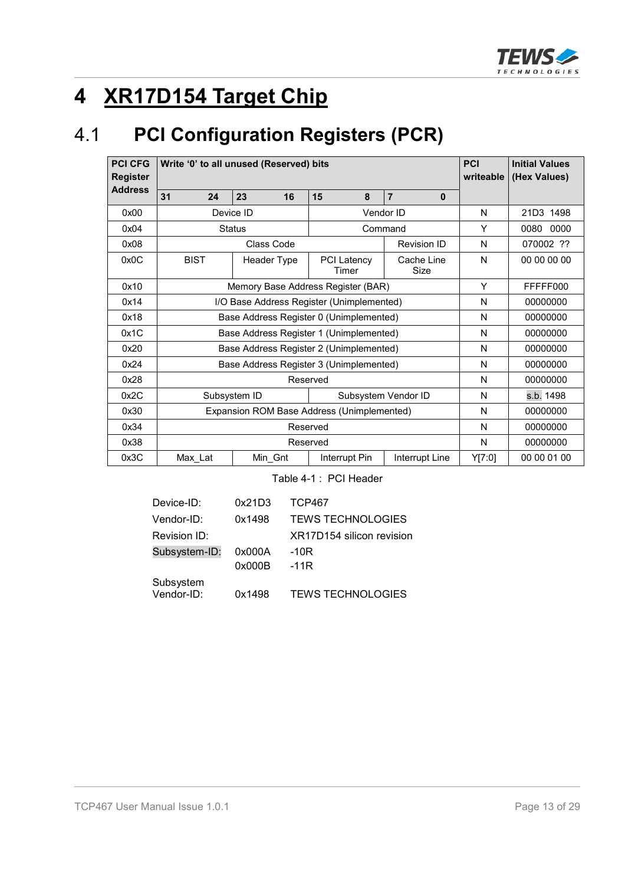

# **4 XR17D154 Target Chip**

# 4.1 **PCI Configuration Registers (PCR)**

| <b>PCI CFG</b><br><b>Register</b> | Write '0' to all unused (Reserved) bits    | <b>PCI</b><br>writeable | <b>Initial Values</b><br>(Hex Values) |                    |        |             |
|-----------------------------------|--------------------------------------------|-------------------------|---------------------------------------|--------------------|--------|-------------|
| <b>Address</b>                    | 31<br>24                                   |                         |                                       |                    |        |             |
| 0x00                              |                                            | Device ID               |                                       | Vendor ID          | N      | 21D3 1498   |
| 0x04                              |                                            | <b>Status</b>           |                                       | Command            | Υ      | 0080 0000   |
| 0x08                              |                                            | Class Code              |                                       | <b>Revision ID</b> | N      | 070002 ??   |
| 0x0C                              | <b>BIST</b>                                | Header Type             | <b>PCI Latency</b><br>Timer           | Cache Line<br>Size | N      | 00 00 00 00 |
| 0x10                              | Memory Base Address Register (BAR)         |                         |                                       |                    |        | FFFFF000    |
| 0x14                              | I/O Base Address Register (Unimplemented)  |                         |                                       |                    |        | 00000000    |
| 0x18                              | Base Address Register 0 (Unimplemented)    |                         |                                       |                    | N      | 00000000    |
| 0x1C                              | Base Address Register 1 (Unimplemented)    |                         |                                       |                    | N      | 00000000    |
| 0x20                              | Base Address Register 2 (Unimplemented)    |                         |                                       |                    | N      | 00000000    |
| 0x24                              | Base Address Register 3 (Unimplemented)    |                         |                                       |                    | N      | 00000000    |
| 0x28                              | Reserved                                   |                         |                                       |                    | N      | 00000000    |
| 0x2C                              | Subsystem ID<br>Subsystem Vendor ID        |                         |                                       |                    | N      | s.b. 1498   |
| 0x30                              | Expansion ROM Base Address (Unimplemented) |                         |                                       |                    | N      | 00000000    |
| 0x34                              | Reserved                                   |                         |                                       |                    |        | 00000000    |
| 0x38                              |                                            |                         | Reserved                              |                    | N      | 00000000    |
| 0x3C                              | Max_Lat                                    | Min_Gnt                 | Interrupt Pin                         | Interrupt Line     | Y[7:0] | 00 00 01 00 |

Table 4-1 : PCI Header

| <b>TEWS TECHNOLOGIES</b>  |
|---------------------------|
| XR17D154 silicon revision |
|                           |
|                           |
| <b>TEWS TECHNOLOGIES</b>  |
|                           |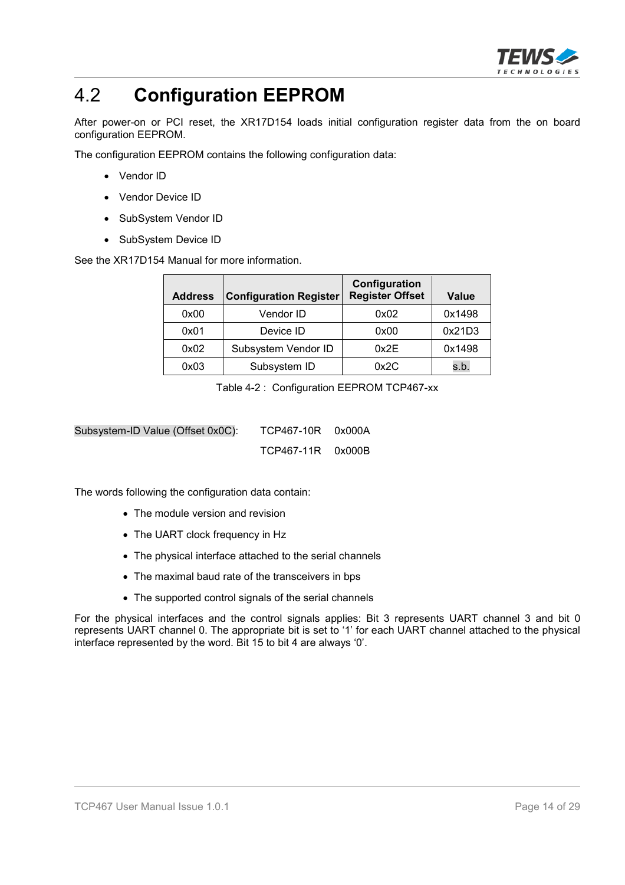

# 4.2 **Configuration EEPROM**

After power-on or PCI reset, the XR17D154 loads initial configuration register data from the on board configuration EEPROM.

The configuration EEPROM contains the following configuration data:

- Vendor ID
- Vendor Device ID
- SubSystem Vendor ID
- SubSystem Device ID

See the XR17D154 Manual for more information.

| <b>Address</b> | <b>Configuration Register</b> | Configuration<br><b>Register Offset</b> | <b>Value</b> |
|----------------|-------------------------------|-----------------------------------------|--------------|
| 0x00           | Vendor ID                     | 0x02                                    | 0x1498       |
| 0x01           | Device ID                     | 0x00                                    | 0x21D3       |
| 0x02           | Subsystem Vendor ID           | 0x2E                                    | 0x1498       |
| 0x03           | Subsystem ID                  | 0x2C                                    | s.b.         |

Table 4-2 : Configuration EEPROM TCP467-xx

Subsystem-ID Value (Offset 0x0C): TCP467-10R 0x000A TCP467-11R 0x000B

The words following the configuration data contain:

- The module version and revision
- The UART clock frequency in Hz
- The physical interface attached to the serial channels
- The maximal baud rate of the transceivers in bps
- The supported control signals of the serial channels

For the physical interfaces and the control signals applies: Bit 3 represents UART channel 3 and bit 0 represents UART channel 0. The appropriate bit is set to '1' for each UART channel attached to the physical interface represented by the word. Bit 15 to bit 4 are always '0'.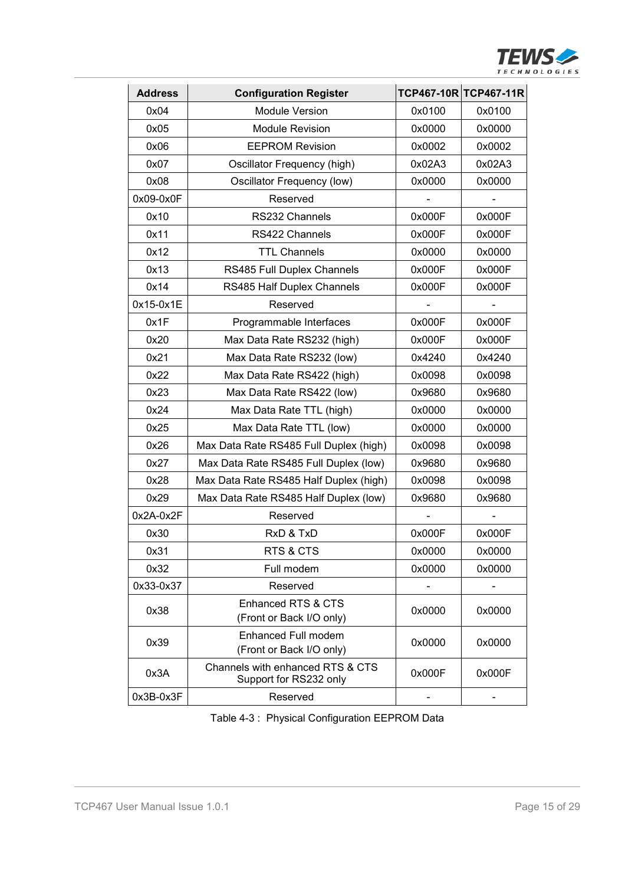

| <b>Address</b> | <b>Configuration Register</b>                              |        | TCP467-10R TCP467-11R |
|----------------|------------------------------------------------------------|--------|-----------------------|
| 0x04           | <b>Module Version</b>                                      | 0x0100 | 0x0100                |
| 0x05           | <b>Module Revision</b>                                     | 0x0000 | 0x0000                |
| 0x06           | <b>EEPROM Revision</b>                                     | 0x0002 | 0x0002                |
| 0x07           | Oscillator Frequency (high)                                | 0x02A3 | 0x02A3                |
| 0x08           | Oscillator Frequency (low)                                 | 0x0000 | 0x0000                |
| 0x09-0x0F      | Reserved                                                   |        |                       |
| 0x10           | RS232 Channels                                             | 0x000F | 0x000F                |
| 0x11           | RS422 Channels                                             | 0x000F | 0x000F                |
| 0x12           | <b>TTL Channels</b>                                        | 0x0000 | 0x0000                |
| 0x13           | RS485 Full Duplex Channels                                 | 0x000F | 0x000F                |
| 0x14           | RS485 Half Duplex Channels                                 | 0x000F | 0x000F                |
| 0x15-0x1E      | Reserved                                                   |        |                       |
| 0x1F           | Programmable Interfaces                                    | 0x000F | 0x000F                |
| 0x20           | Max Data Rate RS232 (high)                                 | 0x000F | 0x000F                |
| 0x21           | Max Data Rate RS232 (low)                                  | 0x4240 | 0x4240                |
| 0x22           | Max Data Rate RS422 (high)                                 | 0x0098 | 0x0098                |
| 0x23           | Max Data Rate RS422 (low)                                  | 0x9680 | 0x9680                |
| 0x24           | Max Data Rate TTL (high)                                   | 0x0000 | 0x0000                |
| 0x25           | Max Data Rate TTL (low)                                    | 0x0000 | 0x0000                |
| 0x26           | Max Data Rate RS485 Full Duplex (high)                     | 0x0098 | 0x0098                |
| 0x27           | Max Data Rate RS485 Full Duplex (low)                      | 0x9680 | 0x9680                |
| 0x28           | Max Data Rate RS485 Half Duplex (high)                     | 0x0098 | 0x0098                |
| 0x29           | Max Data Rate RS485 Half Duplex (low)                      | 0x9680 | 0x9680                |
| 0x2A-0x2F      | Reserved                                                   |        |                       |
| 0x30           | RxD & TxD                                                  | 0x000F | 0x000F                |
| 0x31           | RTS & CTS                                                  | 0x0000 | 0x0000                |
| 0x32           | Full modem                                                 | 0x0000 | 0x0000                |
| 0x33-0x37      | Reserved                                                   |        |                       |
| 0x38           | Enhanced RTS & CTS<br>(Front or Back I/O only)             | 0x0000 | 0x0000                |
| 0x39           | Enhanced Full modem<br>(Front or Back I/O only)            | 0x0000 | 0x0000                |
| 0x3A           | Channels with enhanced RTS & CTS<br>Support for RS232 only | 0x000F | 0x000F                |
| 0x3B-0x3F      | Reserved                                                   |        |                       |

Table 4-3 : Physical Configuration EEPROM Data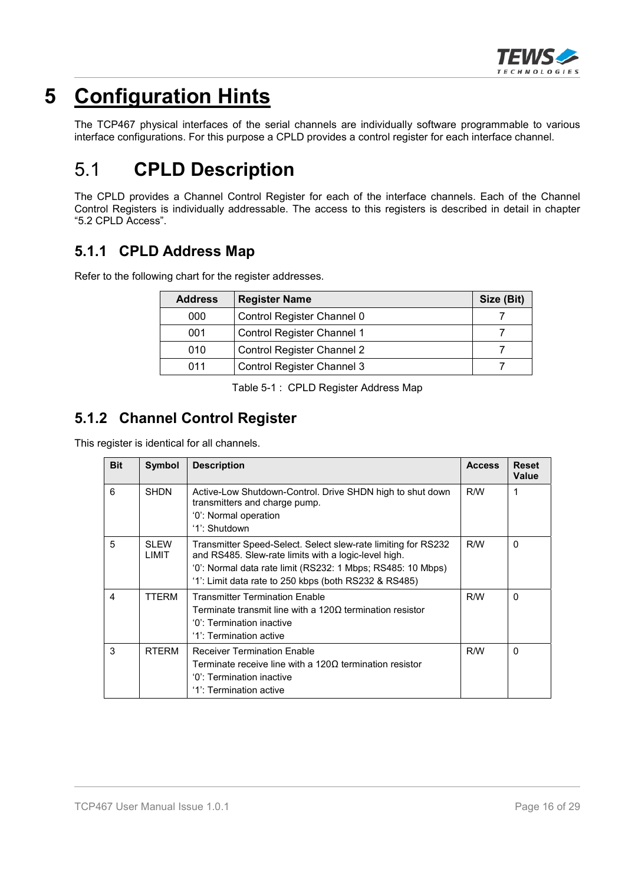

# **5 Configuration Hints**

The TCP467 physical interfaces of the serial channels are individually software programmable to various interface configurations. For this purpose a CPLD provides a control register for each interface channel.

# 5.1 **CPLD Description**

The CPLD provides a Channel Control Register for each of the interface channels. Each of the Channel Control Registers is individually addressable. The access to this registers is described in detail in chapter "5.2 CPLD Access".

#### **5.1.1 CPLD Address Map**

Refer to the following chart for the register addresses.

| <b>Address</b> | <b>Register Name</b>              | Size (Bit) |
|----------------|-----------------------------------|------------|
| 000            | Control Register Channel 0        |            |
| 001            | Control Register Channel 1        |            |
| 010            | <b>Control Register Channel 2</b> |            |
| 011            | Control Register Channel 3        |            |

Table 5-1 : CPLD Register Address Map

#### **5.1.2 Channel Control Register**

This register is identical for all channels.

| <b>Bit</b> | Symbol               | <b>Description</b>                                                                                                                                                                                                                            | <b>Access</b> | <b>Reset</b><br>Value |
|------------|----------------------|-----------------------------------------------------------------------------------------------------------------------------------------------------------------------------------------------------------------------------------------------|---------------|-----------------------|
| 6          | <b>SHDN</b>          | Active-Low Shutdown-Control. Drive SHDN high to shut down<br>transmitters and charge pump.<br>'0': Normal operation                                                                                                                           | R/W           | 1                     |
|            |                      | '1': Shutdown                                                                                                                                                                                                                                 |               |                       |
| 5          | <b>SLEW</b><br>LIMIT | Transmitter Speed-Select. Select slew-rate limiting for RS232<br>and RS485. Slew-rate limits with a logic-level high.<br>'0': Normal data rate limit (RS232: 1 Mbps; RS485: 10 Mbps)<br>'1': Limit data rate to 250 kbps (both RS232 & RS485) | R/W           | $\Omega$              |
| 4          | TTFRM                | <b>Transmitter Termination Enable</b><br>Terminate transmit line with a 1200 termination resistor<br>'0': Termination inactive<br>'1': Termination active                                                                                     | R/W           | $\Omega$              |
| 3          | <b>RTFRM</b>         | <b>Receiver Termination Enable</b><br>Terminate receive line with a $120\Omega$ termination resistor<br>'0': Termination inactive<br>'1': Termination active                                                                                  | R/W           | $\Omega$              |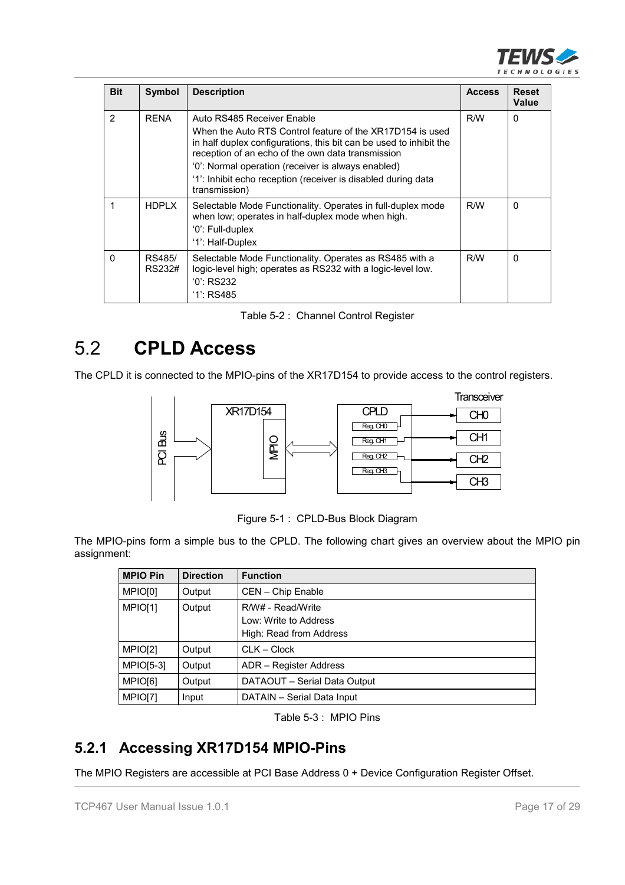

| <b>Bit</b>     | Symbol           | <b>Description</b>                                                                                                                                                                                                                                                                                                                        | <b>Access</b> | <b>Reset</b><br>Value |
|----------------|------------------|-------------------------------------------------------------------------------------------------------------------------------------------------------------------------------------------------------------------------------------------------------------------------------------------------------------------------------------------|---------------|-----------------------|
| $\overline{2}$ | <b>RENA</b>      | Auto RS485 Receiver Enable<br>When the Auto RTS Control feature of the XR17D154 is used<br>in half duplex configurations, this bit can be used to inhibit the<br>reception of an echo of the own data transmission<br>'0': Normal operation (receiver is always enabled)<br>'1': Inhibit echo reception (receiver is disabled during data | R/W           | $\Omega$              |
| 1              | <b>HDPLX</b>     | transmission)<br>Selectable Mode Functionality. Operates in full-duplex mode<br>when low; operates in half-duplex mode when high.<br>'0': Full-duplex<br>'1': Half-Duplex                                                                                                                                                                 | R/W           | $\Omega$              |
| $\Omega$       | RS485/<br>RS232# | Selectable Mode Functionality. Operates as RS485 with a<br>logic-level high; operates as RS232 with a logic-level low.<br>$0$ : RS232<br>$'1$ : RS485                                                                                                                                                                                     | R/W           | $\Omega$              |

|  |  | Table 5-2: Channel Control Register |  |
|--|--|-------------------------------------|--|
|--|--|-------------------------------------|--|

# 5.2 **CPLD Access**

The CPLD it is connected to the MPIO-pins of the XR17D154 to provide access to the control registers.



Figure 5-1 : CPLD-Bus Block Diagram

The MPIO-pins form a simple bus to the CPLD. The following chart gives an overview about the MPIO pin assignment:

| <b>MPIO Pin</b>  | <b>Direction</b> | <b>Function</b>              |  |
|------------------|------------------|------------------------------|--|
| MPIO[0]          | Output           | CEN - Chip Enable            |  |
| MPIO[1]          | Output           | R/W# - Read/Write            |  |
|                  |                  | Low: Write to Address        |  |
|                  |                  | High: Read from Address      |  |
| MPIO[2]          | Output           | $CLK - Clock$                |  |
| <b>MPIO[5-3]</b> | Output           | ADR - Register Address       |  |
| MPIO[6]          | Output           | DATAOUT - Serial Data Output |  |
| MPIO[7]          | Input            | DATAIN - Serial Data Input   |  |

Table 5-3 : MPIO Pins

#### **5.2.1 Accessing XR17D154 MPIO-Pins**

The MPIO Registers are accessible at PCI Base Address 0 + Device Configuration Register Offset.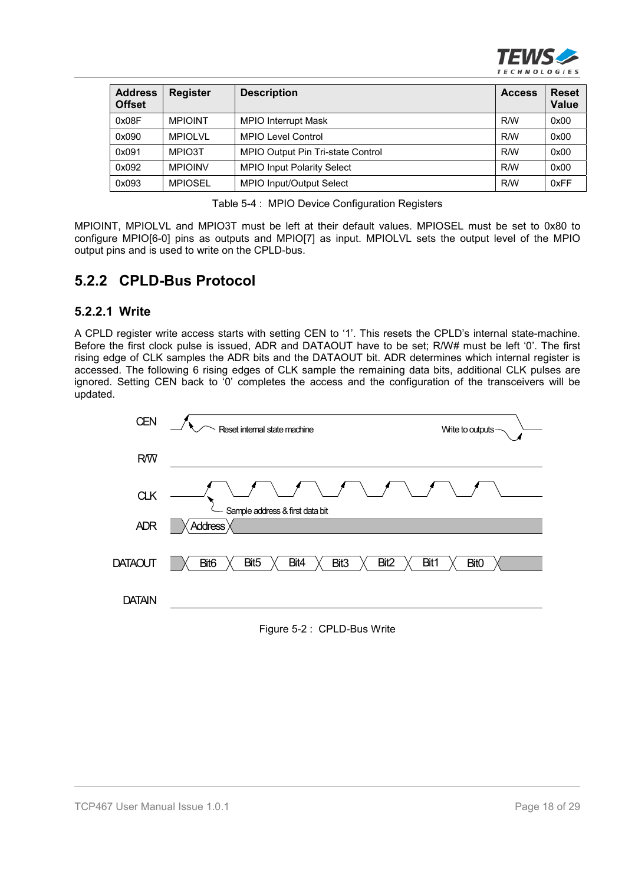

| <b>Address</b><br><b>Offset</b> | <b>Register</b> | <b>Description</b>                | <b>Access</b> | <b>Reset</b><br>Value |
|---------------------------------|-----------------|-----------------------------------|---------------|-----------------------|
| 0x08F                           | <b>MPIOINT</b>  | <b>MPIO Interrupt Mask</b>        | R/W           | 0x00                  |
| 0x090                           | MPIOI VI        | <b>MPIO Level Control</b>         | R/W           | 0x00                  |
| 0x091                           | MPIO3T          | MPIO Output Pin Tri-state Control | R/W           | 0x00                  |
| 0x092                           | <b>MPIOINV</b>  | <b>MPIO Input Polarity Select</b> | R/W           | 0x00                  |
| 0x093                           | <b>MPIOSEL</b>  | MPIO Input/Output Select          | R/W           | 0xFF                  |

Table 5-4 : MPIO Device Configuration Registers

MPIOINT, MPIOLVL and MPIO3T must be left at their default values. MPIOSEL must be set to 0x80 to configure MPIO[6-0] pins as outputs and MPIO[7] as input. MPIOLVL sets the output level of the MPIO output pins and is used to write on the CPLD-bus.

#### **5.2.2 CPLD-Bus Protocol**

#### **5.2.2.1 Write**

A CPLD register write access starts with setting CEN to '1'. This resets the CPLD's internal state-machine. Before the first clock pulse is issued, ADR and DATAOUT have to be set; R/W# must be left '0'. The first rising edge of CLK samples the ADR bits and the DATAOUT bit. ADR determines which internal register is accessed. The following 6 rising edges of CLK sample the remaining data bits, additional CLK pulses are ignored. Setting CEN back to '0' completes the access and the configuration of the transceivers will be updated.



Figure 5-2 : CPLD-Bus Write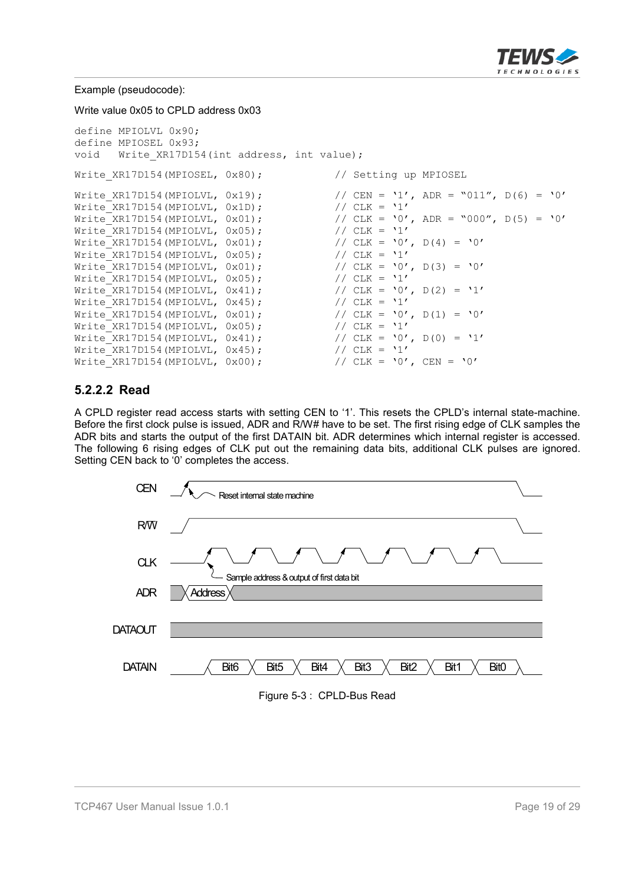

Example (pseudocode):

Write value 0x05 to CPLD address 0x03

```
define MPIOLVL 0x90;
define MPIOSEL 0x93;
void Write XR17D154(int address, int value);
Write XR17D154(MPIOSEL, 0x80); // Setting up MPIOSEL
Write_XR17D154(MPIOLVL, 0x19); \frac{1}{\sqrt{CEN}} = \frac{1}{\sqrt{CEN}} = \frac{1}{\sqrt{CIN}}, D(6) = '0'<br>Write XR17D154(MPIOLVL, 0x1D); \frac{1}{\sqrt{CIN}} = \frac{1}{\sqrt{CIN}}Write XR17D154 (MPIOLVL, 0x1D);
Write_XR17D154(MPIOLVL, 0x01); \frac{1}{2} // CLK = '0', ADR = "000", D(5) = '0'<br>Write XR17D154(MPIOLVL, 0x05); \frac{1}{2} // CLK = '1'
Write XR17D154(MPIOLVL, 0x05);
Write XR17D154(MPIOLVL, 0x01); // CLK = '0', D(4) = '0'
Write XR17D154(MPIOLVL, 0x05); // CLK = '1'
Write_XR17D154(MPIOLVL, 0x01); \begin{array}{ccc} 0 & \text{if } 1 & \text{if } 1 & \text{if } 1 & \text{if } 1 & \text{if } 1 & \text{if } 1 & \text{if } 1 & \text{if } 1 & \text{if } 1 & \text{if } 1 & \text{if } 1 & \text{if } 1 & \text{if } 1 & \text{if } 1 & \text{if } 1 & \text{if } 1 & \text{if } 1 & \text{if } 1 & \text{if } 1 & \text{if } 1 & \text{if } 1 & \text{if } 1 & \text{Write_XR17D154(MPIOLVL, 0x05);Write_XR17D154(MPIOLVL, 0x41); \frac{1}{2} // CLK = '0', D(2) = '1'<br>Write XR17D154(MPIOLVL, 0x45); \frac{1}{2} // CLK = '1'
Write XR17D154(MPIOLVL, 0x45);
Write_XR17D154(MPIOLVL, 0x01); \begin{array}{ccc} 0.01 & \text{if} & \text{if} & \text{if} & \text{if} & \text{if} & \text{if} & \text{if} & \text{if} & \text{if} & \text{if} & \text{if} & \text{if} & \text{if} & \text{if} & \text{if} & \text{if} & \text{if} & \text{if} & \text{if} & \text{if} & \text{if} & \text{if} & \text{if} & \text{if} & \text{if} & \text{if} & \text{if} & \text{if} & \text{if} & \textWrite XR17D154 (MPIOLVL, 0x05);
Write_XR17D154(MPIOLVL, 0x41); \begin{array}{ccc} 0.41 & \text{if} & \text{if} & \text{if} & \text{if} & \text{if} & \text{if} & \text{if} & \text{if} & \text{if} & \text{if} & \text{if} & \text{if} & \text{if} & \text{if} & \text{if} & \text{if} & \text{if} & \text{if} & \text{if} & \text{if} & \text{if} & \text{if} & \text{if} & \text{if} & \text{if} & \text{if} & \text{if} & \text{if} & \text{if} & \textWrite XR17D154 (MPIOLVL, 0x45);
Write_XR17D154(MPIOLVL, 0x00); // CLK = '0', CEN = '0'
```
#### **5.2.2.2 Read**

A CPLD register read access starts with setting CEN to '1'. This resets the CPLD's internal state-machine. Before the first clock pulse is issued, ADR and R/W# have to be set. The first rising edge of CLK samples the ADR bits and starts the output of the first DATAIN bit. ADR determines which internal register is accessed. The following 6 rising edges of CLK put out the remaining data bits, additional CLK pulses are ignored. Setting CEN back to '0' completes the access.



Figure 5-3 : CPLD-Bus Read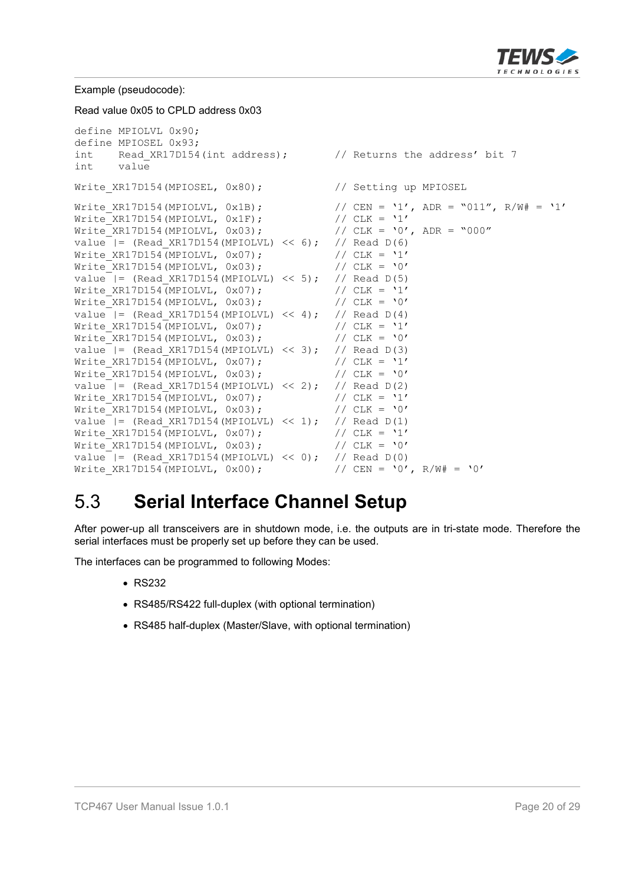

Example (pseudocode):

Read value 0x05 to CPLD address 0x03

```
define MPIOLVL 0x90;
define MPIOSEL 0x93;
int Read XR17D154(int address); // Returns the address' bit 7
int value
Write XR17D154(MPIOSEL, 0x80); // Setting up MPIOSEL
Write XR17D154(MPIOLVL, 0x1B); // CEN = '1', ADR = "011", R/W# = '1'
Write_XR17D154(MPIOLVL, 0x1F); // CLK = '1'
Write XR17D154(MPIOLVL, 0x03); // CLK = '0', ADR = "000"
value |= (Read XR17D154(MPIOLVL) << 6); // Read D(6)
Write XR17D154(MPIOLVL, 0x07); // CLK = '1'
Write_XR17D154(MPIOLVL, 0x03); // CLK = '0'
value | = (Read XR17D154(MPIOLVL) << 5); // Read D(5)
Write XR17D154(MPIOLVL, 0x07); // CLK = '1'
Write XR17D154(MPIOLVL, 0x03); // CLK = '0'
value | = (Read XR17D154(MPIOLVL) << 4); // Read D(4)
Write_XR17D154(MPIOLVL, 0x07); \frac{1}{2} // CLK = '1'<br>Write XR17D154(MPIOLVL, 0x03); \frac{1}{2} // CLK = '0'
Write XR17D154(MPIOLVL, 0x03);value |= (Read_XR17D154(MPIOLVL) << 3); // Read D(3)<br>Write XR17D154(MPIOLVL, 0x07); // CLK = '1'
Write_XR17D154(MPIOLVL, 0x07); \frac{1}{2} // CLK = '1'<br>Write XR17D154(MPIOLVL, 0x03); \frac{1}{2} // CLK = '0'
Write<sup>-</sup>XR17D154(MPIOLVL, 0x03);
value = | = (Read XR17D154(MPIOLVL) << 2); // Read D(2)
Write XR17D154(MPIOLVL, 0x07); // CLK = '1'
Write XR17D154(MPIOLVL, 0x03); // CLK = '0'
value | = (Read XR17D154(MPIOLVL) \lt\lt 1); // Read D(1)
Write XR17D154(MPIOLVL, 0x07); // CLK = '1'
Write XR17D154 (MPIOLVL, 0x03); // CLK = '0'value | = (Read XR17D154(MPIOLVL) << 0); // Read D(0)
Write XR17D154(MPIOLVL, 0x00); // CEN = '0', R/W# = '0'
```
### 5.3 **Serial Interface Channel Setup**

After power-up all transceivers are in shutdown mode, i.e. the outputs are in tri-state mode. Therefore the serial interfaces must be properly set up before they can be used.

The interfaces can be programmed to following Modes:

- $\cdot$  RS232
- RS485/RS422 full-duplex (with optional termination)
- RS485 half-duplex (Master/Slave, with optional termination)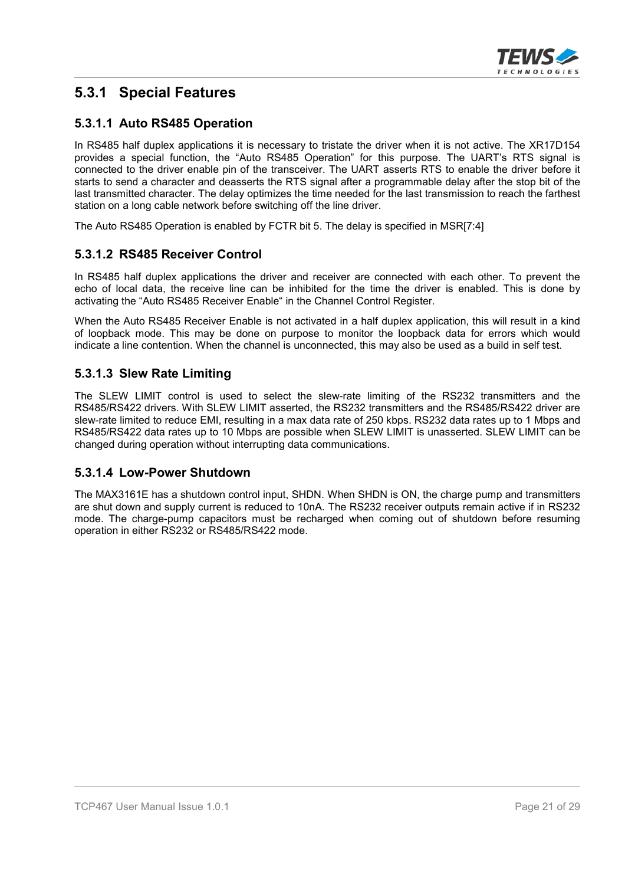

#### **5.3.1 Special Features**

#### **5.3.1.1 Auto RS485 Operation**

In RS485 half duplex applications it is necessary to tristate the driver when it is not active. The XR17D154 provides a special function, the "Auto RS485 Operation" for this purpose. The UART's RTS signal is connected to the driver enable pin of the transceiver. The UART asserts RTS to enable the driver before it starts to send a character and deasserts the RTS signal after a programmable delay after the stop bit of the last transmitted character. The delay optimizes the time needed for the last transmission to reach the farthest station on a long cable network before switching off the line driver.

The Auto RS485 Operation is enabled by FCTR bit 5. The delay is specified in MSR[7:4]

#### **5.3.1.2 RS485 Receiver Control**

In RS485 half duplex applications the driver and receiver are connected with each other. To prevent the echo of local data, the receive line can be inhibited for the time the driver is enabled. This is done by activating the "Auto RS485 Receiver Enable" in the Channel Control Register.

When the Auto RS485 Receiver Enable is not activated in a half duplex application, this will result in a kind of loopback mode. This may be done on purpose to monitor the loopback data for errors which would indicate a line contention. When the channel is unconnected, this may also be used as a build in self test.

#### **5.3.1.3 Slew Rate Limiting**

The SLEW LIMIT control is used to select the slew-rate limiting of the RS232 transmitters and the RS485/RS422 drivers. With SLEW LIMIT asserted, the RS232 transmitters and the RS485/RS422 driver are slew-rate limited to reduce EMI, resulting in a max data rate of 250 kbps. RS232 data rates up to 1 Mbps and RS485/RS422 data rates up to 10 Mbps are possible when SLEW LIMIT is unasserted. SLEW LIMIT can be changed during operation without interrupting data communications.

#### **5.3.1.4 Low-Power Shutdown**

The MAX3161E has a shutdown control input, SHDN. When SHDN is ON, the charge pump and transmitters are shut down and supply current is reduced to 10nA. The RS232 receiver outputs remain active if in RS232 mode. The charge-pump capacitors must be recharged when coming out of shutdown before resuming operation in either RS232 or RS485/RS422 mode.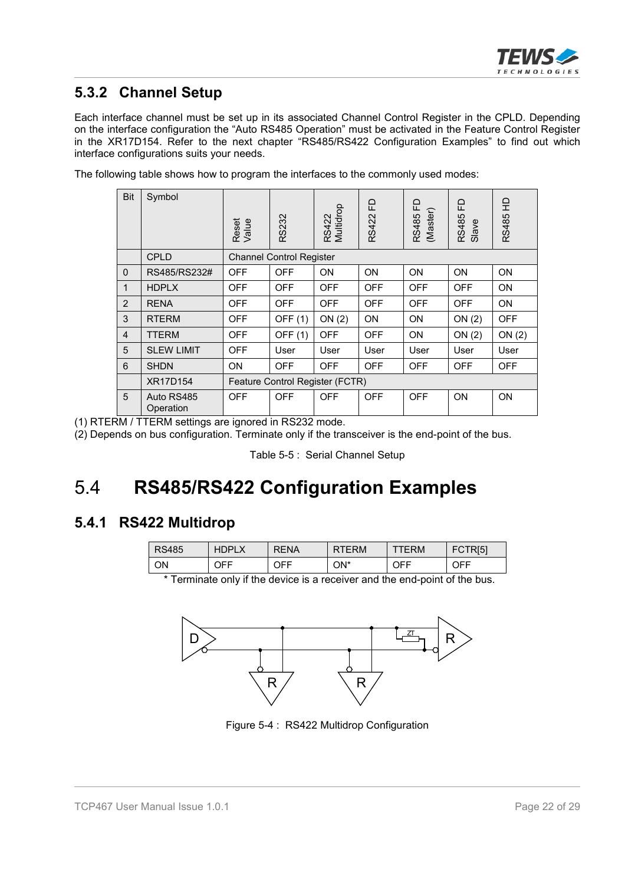

#### **5.3.2 Channel Setup**

Each interface channel must be set up in its associated Channel Control Register in the CPLD. Depending on the interface configuration the "Auto RS485 Operation" must be activated in the Feature Control Register in the XR17D154. Refer to the next chapter "RS485/RS422 Configuration Examples" to find out which interface configurations suits your needs.

The following table shows how to program the interfaces to the commonly used modes:

| Bit            | Symbol                  | Reset<br>Value                  | RS232                           | Multidrop<br>RS422 | 요<br>RS422 | 묘<br>(Master)<br>RS485 | 요<br>RS485<br>Slave | 읖<br>RS485 |
|----------------|-------------------------|---------------------------------|---------------------------------|--------------------|------------|------------------------|---------------------|------------|
|                | <b>CPLD</b>             |                                 | <b>Channel Control Register</b> |                    |            |                        |                     |            |
| $\mathbf 0$    | RS485/RS232#            | <b>OFF</b>                      | <b>OFF</b>                      | <b>ON</b>          | <b>ON</b>  | ON                     | ON                  | <b>ON</b>  |
| $\mathbf{1}$   | <b>HDPLX</b>            | <b>OFF</b>                      | <b>OFF</b>                      | <b>OFF</b>         | <b>OFF</b> | <b>OFF</b>             | <b>OFF</b>          | ON         |
| 2              | <b>RENA</b>             | <b>OFF</b>                      | <b>OFF</b>                      | <b>OFF</b>         | <b>OFF</b> | <b>OFF</b>             | <b>OFF</b>          | ON         |
| 3              | <b>RTERM</b>            | <b>OFF</b>                      | <b>OFF (1)</b>                  | ON(2)              | ON         | ON                     | ON(2)               | <b>OFF</b> |
| $\overline{4}$ | <b>TTERM</b>            | <b>OFF</b>                      | <b>OFF (1)</b>                  | <b>OFF</b>         | <b>OFF</b> | <b>ON</b>              | ON(2)               | ON(2)      |
| 5              | <b>SLEW LIMIT</b>       | <b>OFF</b>                      | User                            | User               | User       | User                   | User                | User       |
| 6              | <b>SHDN</b>             | ON                              | <b>OFF</b>                      | <b>OFF</b>         | <b>OFF</b> | <b>OFF</b>             | <b>OFF</b>          | <b>OFF</b> |
|                | XR17D154                | Feature Control Register (FCTR) |                                 |                    |            |                        |                     |            |
| 5              | Auto RS485<br>Operation | <b>OFF</b>                      | <b>OFF</b>                      | <b>OFF</b>         | <b>OFF</b> | <b>OFF</b>             | <b>ON</b>           | ON         |

(1) RTERM / TTERM settings are ignored in RS232 mode.

(2) Depends on bus configuration. Terminate only if the transceiver is the end-point of the bus.

### 5.4 **RS485/RS422 Configuration Examples**

#### **5.4.1 RS422 Multidrop**

| <b>RS485</b> | <b>HDPLX</b> | <b>RENA</b> | <b>RTERM</b> | <b>ERM</b> | TR[5] |
|--------------|--------------|-------------|--------------|------------|-------|
| ΟN           | JFF.         | JFF.        | ON*          | OFF        | OFF   |

\* Terminate only if the device is a receiver and the end-point of the bus.



Figure 5-4 : RS422 Multidrop Configuration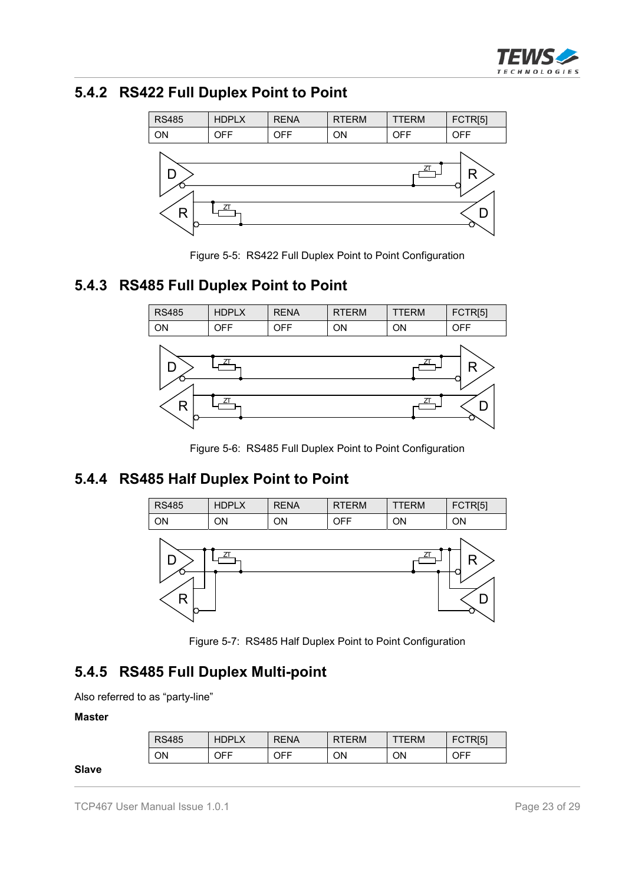

#### **5.4.2 RS422 Full Duplex Point to Point**



Figure 5-5: RS422 Full Duplex Point to Point Configuration

### **5.4.3 RS485 Full Duplex Point to Point**



Figure 5-6: RS485 Full Duplex Point to Point Configuration

### **5.4.4 RS485 Half Duplex Point to Point**



Figure 5-7: RS485 Half Duplex Point to Point Configuration

#### **5.4.5 RS485 Full Duplex Multi-point**

Also referred to as "party-line"

#### **Master**

**Slave**

| <b>RS485</b> | HГ<br>ופר | <b>RENA</b> | ERM<br>R | ERM | <b>TR[5]</b><br>- FC⊾ |
|--------------|-----------|-------------|----------|-----|-----------------------|
| ON           | OFF       | JFF.        | ON       | ΟN  | OFF                   |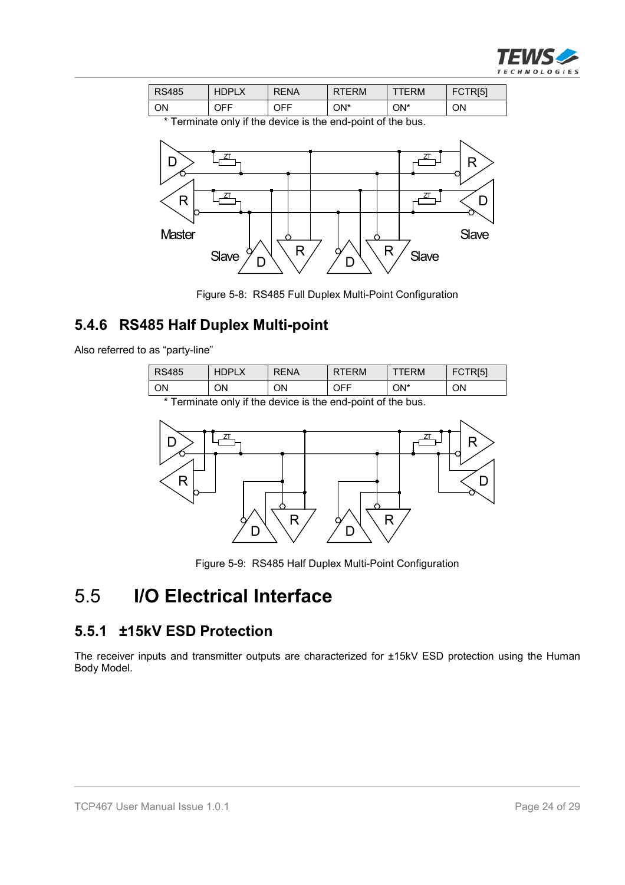

| <b>RS485</b> | <b>HDPLA</b> | <b>RENA</b> | ERM <sup>.</sup> | ∶RΜ | FCTR <sub>[5]</sub> |
|--------------|--------------|-------------|------------------|-----|---------------------|
| ON           | JFF.         | JFF.        | ON*              | ON* | ΟN                  |

\* Terminate only if the device is the end-point of the bus.



Figure 5-8: RS485 Full Duplex Multi-Point Configuration

### **5.4.6 RS485 Half Duplex Multi-point**

Also referred to as "party-line"

| <b>RS485</b>                                                         | <b>HDPLX</b> | <b>RENA</b> | <b>RTERM</b> | TERM | FCTR[5] |
|----------------------------------------------------------------------|--------------|-------------|--------------|------|---------|
| ON                                                                   | OΝ           | ΟN          | OFF          | ON*  | ΟN      |
| * Texas basic color Citter derives to the second control of the book |              |             |              |      |         |

Terminate only if the device is the end-point of the bus.



Figure 5-9: RS485 Half Duplex Multi-Point Configuration

### 5.5 **I/O Electrical Interface**

#### **5.5.1 ±15kV ESD Protection**

The receiver inputs and transmitter outputs are characterized for ±15kV ESD protection using the Human Body Model.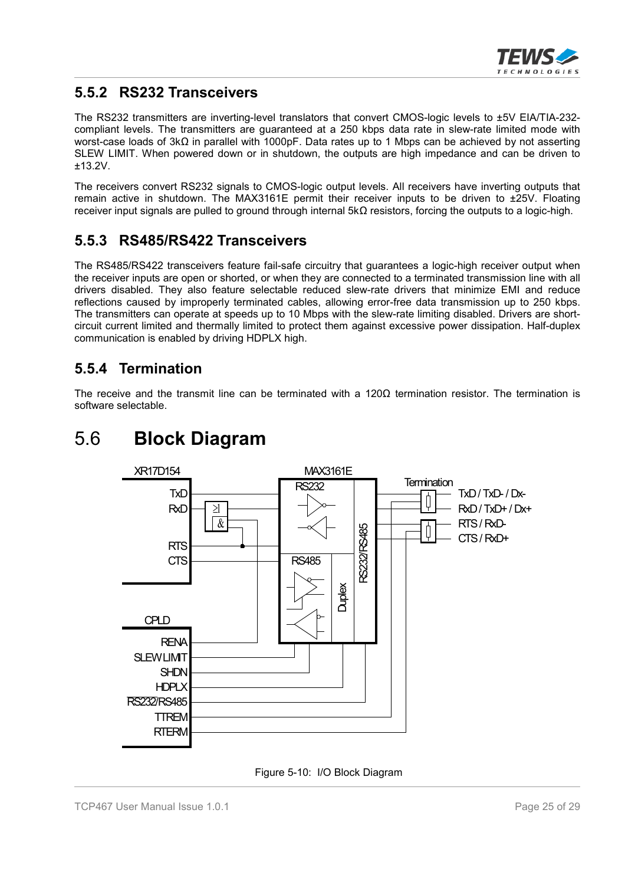

#### **5.5.2 RS232 Transceivers**

The RS232 transmitters are inverting-level translators that convert CMOS-logic levels to ±5V EIA/TIA-232 compliant levels. The transmitters are guaranteed at a 250 kbps data rate in slew-rate limited mode with worst-case loads of  $3k\Omega$  in parallel with 1000pF. Data rates up to 1 Mbps can be achieved by not asserting SLEW LIMIT. When powered down or in shutdown, the outputs are high impedance and can be driven to ±13.2V.

The receivers convert RS232 signals to CMOS-logic output levels. All receivers have inverting outputs that remain active in shutdown. The MAX3161E permit their receiver inputs to be driven to ±25V. Floating receiver input signals are pulled to ground through internal  $5k\Omega$  resistors, forcing the outputs to a logic-high.

#### **5.5.3 RS485/RS422 Transceivers**

The RS485/RS422 transceivers feature fail-safe circuitry that guarantees a logic-high receiver output when the receiver inputs are open or shorted, or when they are connected to a terminated transmission line with all drivers disabled. They also feature selectable reduced slew-rate drivers that minimize EMI and reduce reflections caused by improperly terminated cables, allowing error-free data transmission up to 250 kbps. The transmitters can operate at speeds up to 10 Mbps with the slew-rate limiting disabled. Drivers are shortcircuit current limited and thermally limited to protect them against excessive power dissipation. Half-duplex communication is enabled by driving HDPLX high.

#### **5.5.4 Termination**

The receive and the transmit line can be terminated with a  $120\Omega$  termination resistor. The termination is software selectable.

### 5.6 **Block Diagram**



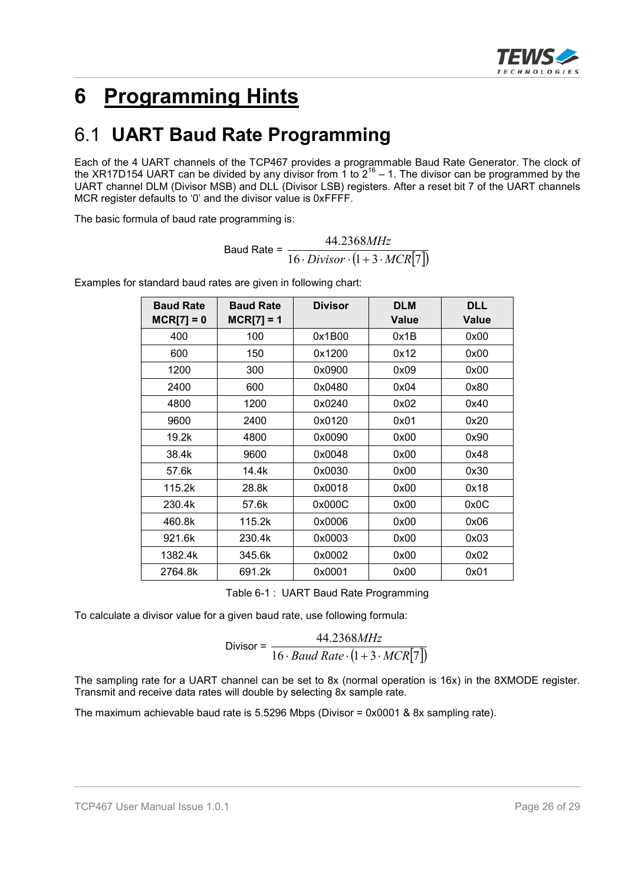

# **6 Programming Hints**

# 6.1 **UART Baud Rate Programming**

Each of the 4 UART channels of the TCP467 provides a programmable Baud Rate Generator. The clock of the XR17D154 UART can be divided by any divisor from 1 to  $2^{16}$  – 1. The divisor can be programmed by the UART channel DLM (Divisor MSB) and DLL (Divisor LSB) registers. After a reset bit 7 of the UART channels MCR register defaults to '0' and the divisor value is 0xFFFF.

The basic formula of baud rate programming is:

$$
Baud Rate = \frac{44.2368MHz}{16 \cdot Divisor \cdot (1+3 \cdot MCR[7])}
$$

| <b>Baud Rate</b><br>$MCR[7] = 0$ | <b>Baud Rate</b><br>$MCR[7] = 1$ | <b>Divisor</b> | <b>DLM</b><br><b>Value</b> | <b>DLL</b><br>Value |
|----------------------------------|----------------------------------|----------------|----------------------------|---------------------|
| 400                              | 100                              | 0x1B00         | 0x1B                       | 0x00                |
| 600                              | 150                              | 0x1200         | 0x12                       | 0x00                |
| 1200                             | 300                              | 0x0900         | 0x09                       | 0x00                |
| 2400                             | 600                              | 0x0480         | 0x04                       | 0x80                |
| 4800                             | 1200                             | 0x0240         | 0x02                       | 0x40                |
| 9600                             | 2400                             | 0x0120         | 0x01                       | 0x20                |
| 19.2k                            | 4800                             | 0x0090         | 0x00                       | 0x90                |
| 38.4k                            | 9600                             | 0x0048         | 0x00                       | 0x48                |
| 57.6k                            | 14.4k                            | 0x0030         | 0x00                       | 0x30                |
| 115.2k                           | 28.8k                            | 0x0018         | 0x00                       | 0x18                |
| 230.4k                           | 57.6k                            | 0x000C         | 0x00                       | 0x0C                |
| 460.8k                           | 115.2k                           | 0x0006         | 0x00                       | 0x06                |
| 921.6k                           | 230.4k                           | 0x0003         | 0x00                       | 0x03                |
| 1382.4k                          | 345.6k                           | 0x0002         | 0x00                       | 0x02                |
| 2764.8k                          | 691.2k                           | 0x0001         | 0x00                       | 0x01                |

Examples for standard baud rates are given in following chart:

Table 6-1 : UART Baud Rate Programming

To calculate a divisor value for a given baud rate, use following formula:

$$
Divisor = \frac{44.2368MHz}{16 \cdot Baud Rate \cdot (1 + 3 \cdot MCR[7])}
$$

The sampling rate for a UART channel can be set to 8x (normal operation is 16x) in the 8XMODE register. Transmit and receive data rates will double by selecting 8x sample rate.

The maximum achievable baud rate is 5.5296 Mbps (Divisor = 0x0001 & 8x sampling rate).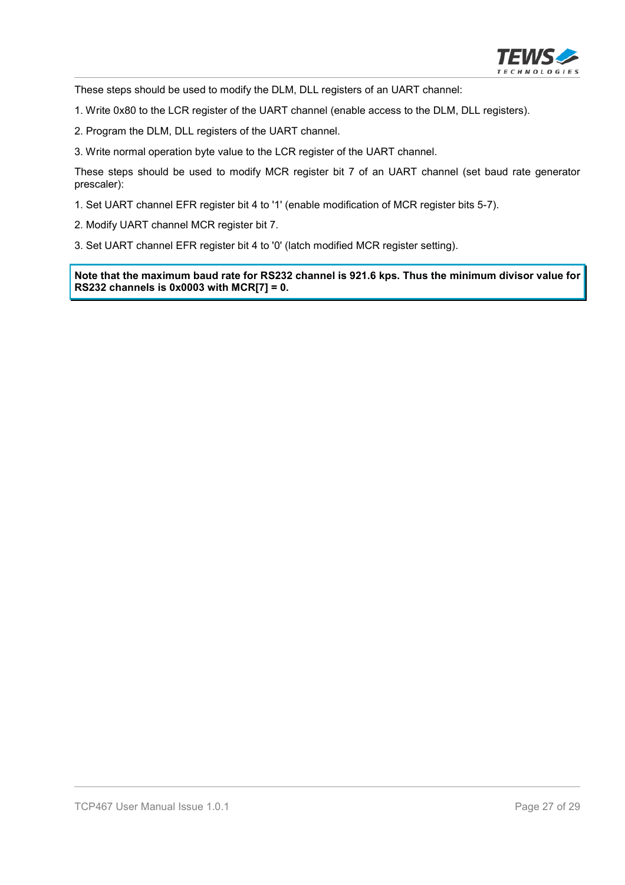

These steps should be used to modify the DLM, DLL registers of an UART channel:

- 1. Write 0x80 to the LCR register of the UART channel (enable access to the DLM, DLL registers).
- 2. Program the DLM, DLL registers of the UART channel.
- 3. Write normal operation byte value to the LCR register of the UART channel.

These steps should be used to modify MCR register bit 7 of an UART channel (set baud rate generator prescaler):

- 1. Set UART channel EFR register bit 4 to '1' (enable modification of MCR register bits 5-7).
- 2. Modify UART channel MCR register bit 7.
- 3. Set UART channel EFR register bit 4 to '0' (latch modified MCR register setting).

**Note that the maximum baud rate for RS232 channel is 921.6 kps. Thus the minimum divisor value for RS232 channels is 0x0003 with MCR[7] = 0.**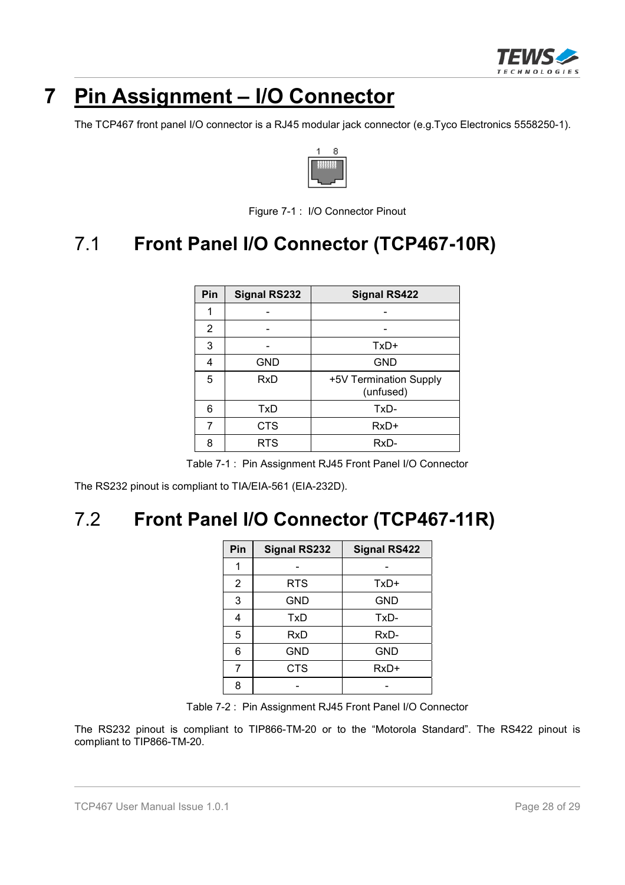

# **7 Pin Assignment – I/O Connector**

The TCP467 front panel I/O connector is a RJ45 modular jack connector (e.g.Tyco Electronics 5558250-1).



Figure 7-1 : I/O Connector Pinout

# 7.1 **Front Panel I/O Connector (TCP467-10R)**

| Pin | <b>Signal RS232</b> | <b>Signal RS422</b>                 |
|-----|---------------------|-------------------------------------|
| 1   |                     |                                     |
| 2   |                     |                                     |
| 3   |                     | $TxD+$                              |
| 4   | <b>GND</b>          | <b>GND</b>                          |
| 5   | RxD                 | +5V Termination Supply<br>(unfused) |
| 6   | TxD                 | TxD-                                |
| 7   | <b>CTS</b>          | $RxD+$                              |
| 8   | <b>RTS</b>          | RxD-                                |

Table 7-1 : Pin Assignment RJ45 Front Panel I/O Connector

The RS232 pinout is compliant to TIA/EIA-561 (EIA-232D).

# 7.2 **Front Panel I/O Connector (TCP467-11R)**

| Pin | <b>Signal RS232</b> | <b>Signal RS422</b> |
|-----|---------------------|---------------------|
| 1   |                     |                     |
| 2   | <b>RTS</b>          | TxD+                |
| 3   | <b>GND</b>          | <b>GND</b>          |
| 4   | TxD                 | TxD-                |
| 5   | RxD                 | RxD-                |
| 6   | <b>GND</b>          | GND                 |
| 7   | <b>CTS</b>          | $RxD+$              |
| 8   |                     |                     |

Table 7-2 : Pin Assignment RJ45 Front Panel I/O Connector

The RS232 pinout is compliant to TIP866-TM-20 or to the "Motorola Standard". The RS422 pinout is compliant to TIP866-TM-20.